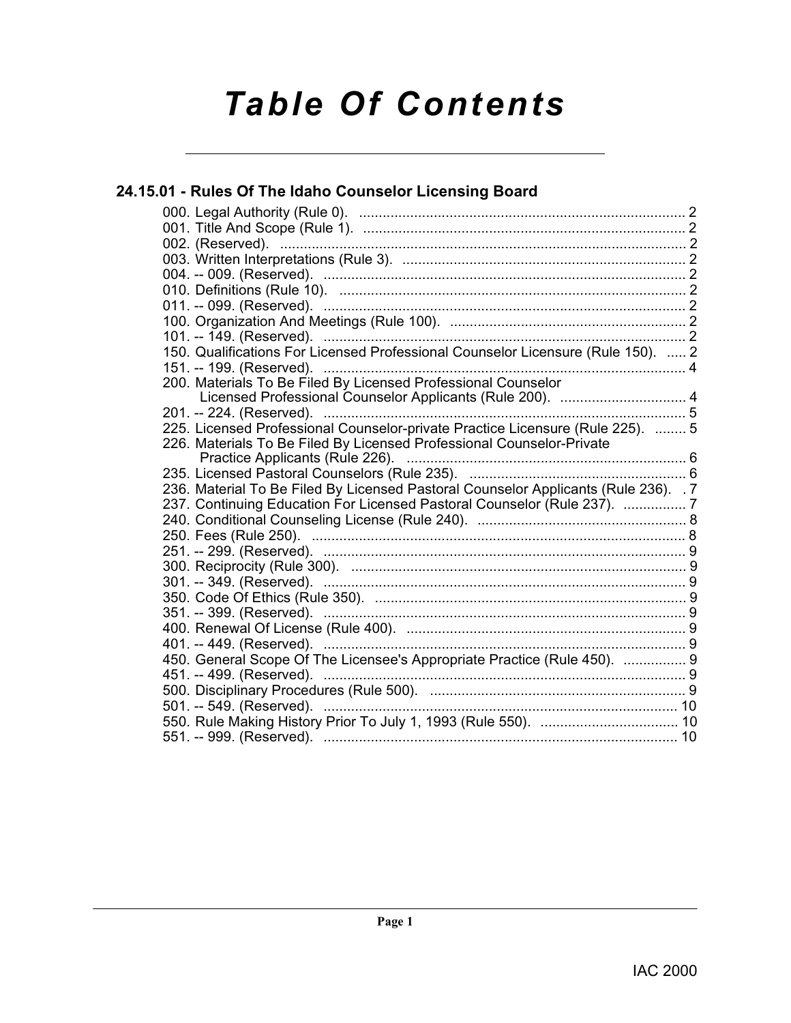# *Table Of Contents*

### **[24.15.01 - Rules Of The Idaho Counselor Licensing Board](#page-1-0)**

| 150. Qualifications For Licensed Professional Counselor Licensure (Rule 150).  2    |  |
|-------------------------------------------------------------------------------------|--|
|                                                                                     |  |
| 200. Materials To Be Filed By Licensed Professional Counselor                       |  |
| Licensed Professional Counselor Applicants (Rule 200).  4                           |  |
|                                                                                     |  |
| 225. Licensed Professional Counselor-private Practice Licensure (Rule 225).  5      |  |
| 226. Materials To Be Filed By Licensed Professional Counselor-Private               |  |
| Practice Applicants (Rule 226).                                                     |  |
|                                                                                     |  |
| 236. Material To Be Filed By Licensed Pastoral Counselor Applicants (Rule 236). . 7 |  |
| 237. Continuing Education For Licensed Pastoral Counselor (Rule 237).  7            |  |
|                                                                                     |  |
|                                                                                     |  |
|                                                                                     |  |
|                                                                                     |  |
|                                                                                     |  |
|                                                                                     |  |
|                                                                                     |  |
|                                                                                     |  |
|                                                                                     |  |
|                                                                                     |  |
| 450. General Scope Of The Licensee's Appropriate Practice (Rule 450).  9            |  |
|                                                                                     |  |
|                                                                                     |  |
| 501. -- 549. (Reserved). ………………………………………………………………………… 10                            |  |
| 551. -- 999. (Reserved). ………………………………………………………………………… 10                            |  |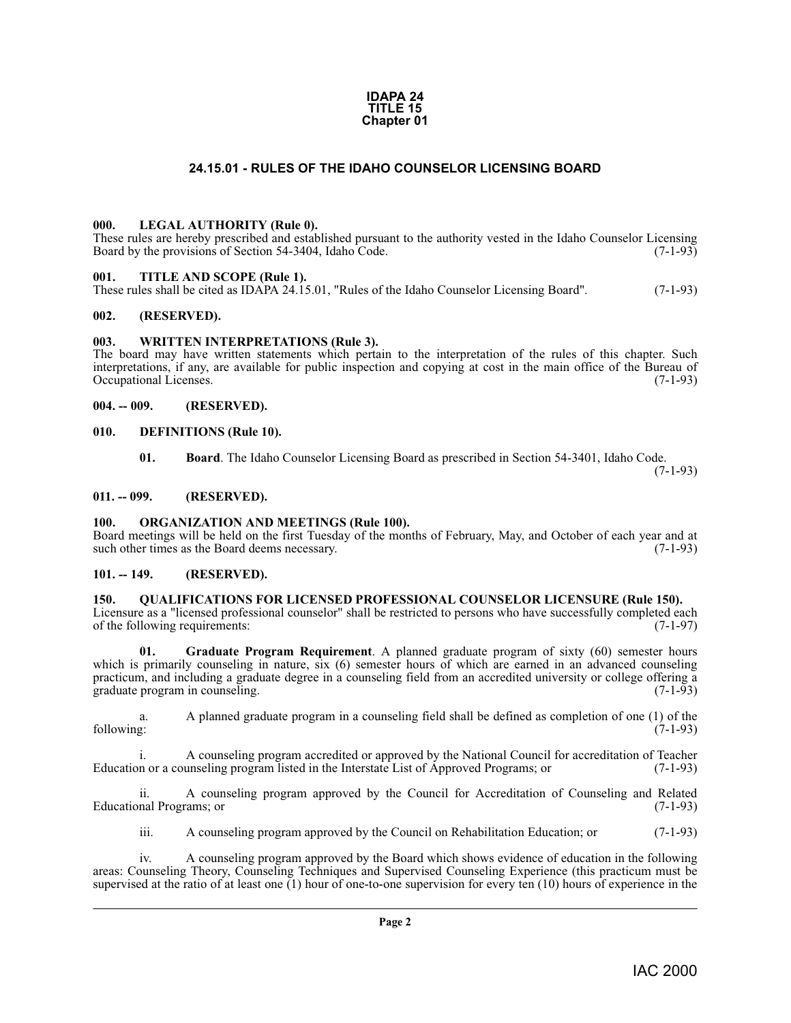#### **IDAPA 24 TITLE 15 Chapter 01**

#### **24.15.01 - RULES OF THE IDAHO COUNSELOR LICENSING BOARD**

#### <span id="page-1-14"></span><span id="page-1-1"></span><span id="page-1-0"></span>**000. LEGAL AUTHORITY (Rule 0).**

These rules are hereby prescribed and established pursuant to the authority vested in the Idaho Counselor Licensing Board by the provisions of Section 54-3404, Idaho Code. (7-1-93)

#### <span id="page-1-17"></span><span id="page-1-2"></span>**001. TITLE AND SCOPE (Rule 1).**

These rules shall be cited as IDAPA 24.15.01, "Rules of the Idaho Counselor Licensing Board". (7-1-93)

#### <span id="page-1-3"></span>**002. (RESERVED).**

#### <span id="page-1-18"></span><span id="page-1-4"></span>**003. WRITTEN INTERPRETATIONS (Rule 3).**

The board may have written statements which pertain to the interpretation of the rules of this chapter. Such interpretations, if any, are available for public inspection and copying at cost in the main office of the Bureau of Occupational Licenses. (7-1-93) Occupational Licenses.

#### <span id="page-1-5"></span>**004. -- 009. (RESERVED).**

#### <span id="page-1-6"></span>**010. DEFINITIONS (Rule 10).**

<span id="page-1-12"></span><span id="page-1-11"></span>**01. Board**. The Idaho Counselor Licensing Board as prescribed in Section 54-3401, Idaho Code.

(7-1-93)

#### <span id="page-1-7"></span>**011. -- 099. (RESERVED).**

#### <span id="page-1-15"></span><span id="page-1-8"></span>**100. ORGANIZATION AND MEETINGS (Rule 100).**

Board meetings will be held on the first Tuesday of the months of February, May, and October of each year and at such other times as the Board deems necessary. (7-1-93) such other times as the Board deems necessary.

#### <span id="page-1-9"></span>**101. -- 149. (RESERVED).**

#### <span id="page-1-16"></span><span id="page-1-10"></span>**150. QUALIFICATIONS FOR LICENSED PROFESSIONAL COUNSELOR LICENSURE (Rule 150).**

Licensure as a "licensed professional counselor" shall be restricted to persons who have successfully completed each of the following requirements: (7-1-97) of the following requirements:

<span id="page-1-13"></span>**Graduate Program Requirement**. A planned graduate program of sixty (60) semester hours which is primarily counseling in nature, six (6) semester hours of which are earned in an advanced counseling practicum, and including a graduate degree in a counseling field from an accredited university or college offering a graduate program in counseling. (7-1-93)

a. A planned graduate program in a counseling field shall be defined as completion of one (1) of the following: (7-1-93)

i. A counseling program accredited or approved by the National Council for accreditation of Teacher<br>n or a counseling program listed in the Interstate List of Approved Programs; or (7-1-93) Education or a counseling program listed in the Interstate List of Approved Programs; or

ii. A counseling program approved by the Council for Accreditation of Counseling and Related Educational Programs; or (7-1-93)

iii. A counseling program approved by the Council on Rehabilitation Education; or (7-1-93)

iv. A counseling program approved by the Board which shows evidence of education in the following areas: Counseling Theory, Counseling Techniques and Supervised Counseling Experience (this practicum must be supervised at the ratio of at least one (1) hour of one-to-one supervision for every ten (10) hours of experience in the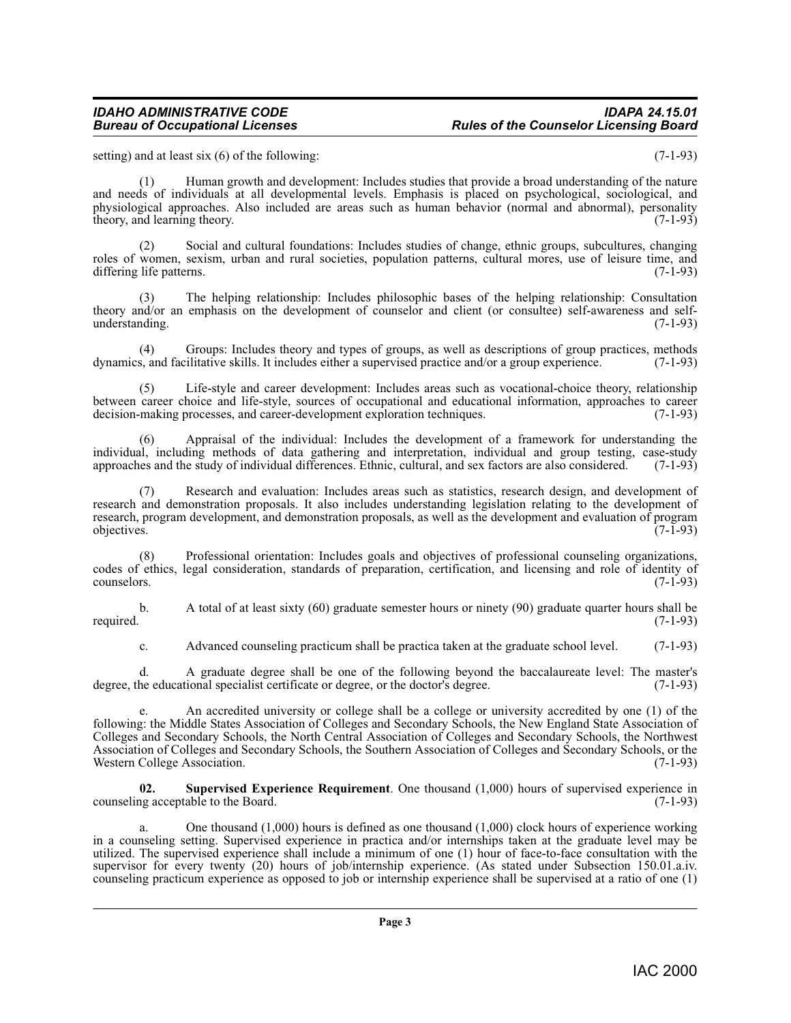#### *IDAHO ADMINISTRATIVE CODE IDAPA 24.15.01* **Rules of the Counselor Licensing Board**

setting) and at least six (6) of the following: (7-1-93)

(1) Human growth and development: Includes studies that provide a broad understanding of the nature and needs of individuals at all developmental levels. Emphasis is placed on psychological, sociological, and physiological approaches. Also included are areas such as human behavior (normal and abnormal), personality theory, and learning theory. (7-1-93) (7-1-93)

(2) Social and cultural foundations: Includes studies of change, ethnic groups, subcultures, changing roles of women, sexism, urban and rural societies, population patterns, cultural mores, use of leisure time, and differing life patterns. (7-1-93)

(3) The helping relationship: Includes philosophic bases of the helping relationship: Consultation theory and/or an emphasis on the development of counselor and client (or consultee) self-awareness and selfunderstanding.

(4) Groups: Includes theory and types of groups, as well as descriptions of group practices, methods  $s$ , and facilitative skills. It includes either a supervised practice and/or a group experience. (7-1-93) dynamics, and facilitative skills. It includes either a supervised practice and/or a group experience.

(5) Life-style and career development: Includes areas such as vocational-choice theory, relationship between career choice and life-style, sources of occupational and educational information, approaches to career decision-making processes, and career-development exploration techniques. (7-1-93) decision-making processes, and career-development exploration techniques.

(6) Appraisal of the individual: Includes the development of a framework for understanding the individual, including methods of data gathering and interpretation, individual and group testing, case-study approaches and the study of individual differences. Ethnic, cultural, and sex factors are also considered. (7-1-93)

(7) Research and evaluation: Includes areas such as statistics, research design, and development of research and demonstration proposals. It also includes understanding legislation relating to the development of research, program development, and demonstration proposals, as well as the development and evaluation of program objectives. (7-1-93)  $\omega$  objectives.  $(7-1-93)$ 

(8) Professional orientation: Includes goals and objectives of professional counseling organizations, codes of ethics, legal consideration, standards of preparation, certification, and licensing and role of identity of counselors. (7-1-93) counselors. (7-1-93)

b. A total of at least sixty (60) graduate semester hours or ninety (90) graduate quarter hours shall be required. (7-1-93) required. (7-1-93)

c. Advanced counseling practicum shall be practica taken at the graduate school level. (7-1-93)

d. A graduate degree shall be one of the following beyond the baccalaureate level: The master's degree, the educational specialist certificate or degree, or the doctor's degree. (7-1-93)

e. An accredited university or college shall be a college or university accredited by one (1) of the following: the Middle States Association of Colleges and Secondary Schools, the New England State Association of Colleges and Secondary Schools, the North Central Association of Colleges and Secondary Schools, the Northwest Association of Colleges and Secondary Schools, the Southern Association of Colleges and Secondary Schools, or the Western College Association. (7-1-93)

<span id="page-2-0"></span>**02.** Supervised Experience Requirement. One thousand (1,000) hours of supervised experience in ng acceptable to the Board. (7-1-93) counseling acceptable to the Board.

a. One thousand (1,000) hours is defined as one thousand (1,000) clock hours of experience working in a counseling setting. Supervised experience in practica and/or internships taken at the graduate level may be utilized. The supervised experience shall include a minimum of one (1) hour of face-to-face consultation with the supervisor for every twenty (20) hours of job/internship experience. (As stated under Subsection 150.01.a.iv. counseling practicum experience as opposed to job or internship experience shall be supervised at a ratio of one (1)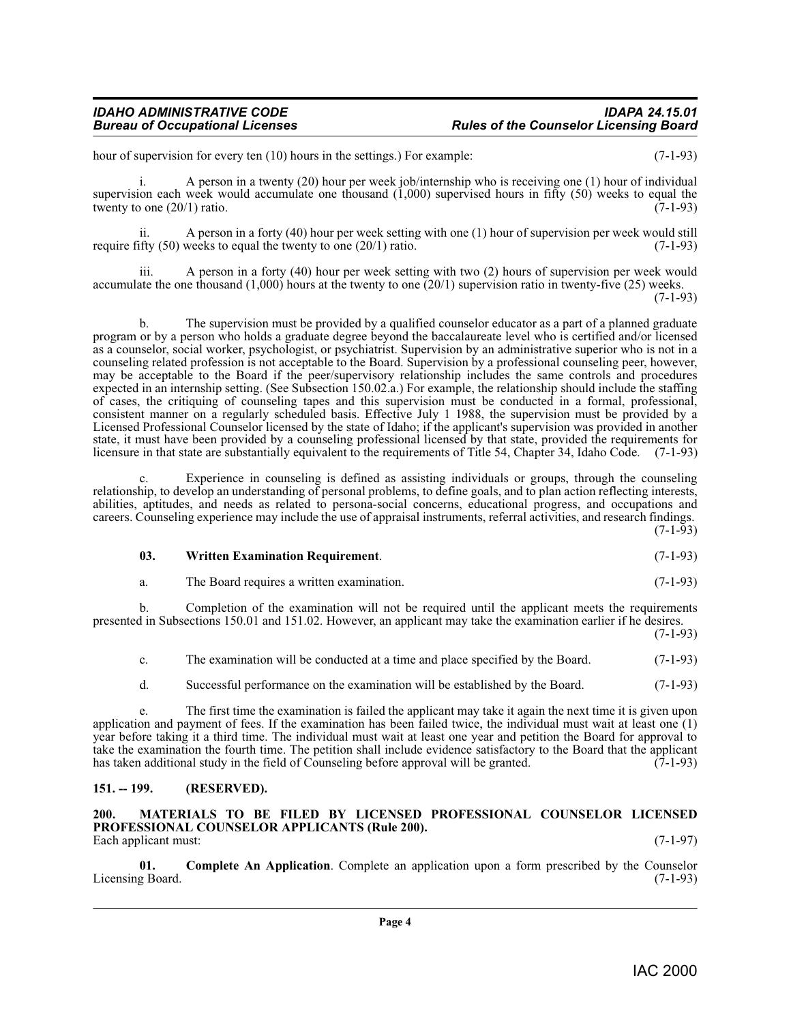hour of supervision for every ten (10) hours in the settings.) For example: (7-1-93)

i. A person in a twenty (20) hour per week job/internship who is receiving one (1) hour of individual supervision each week would accumulate one thousand  $(1,000)$  supervised hours in fifty (50) weeks to equal the twenty to one  $(20/1)$  ratio. twenty to one  $(20/1)$  ratio.

ii. A person in a forty (40) hour per week setting with one (1) hour of supervision per week would still  $f(x)$  (50) weeks to equal the twenty to one (20/1) ratio. require fifty  $(50)$  weeks to equal the twenty to one  $(20/1)$  ratio.

iii. A person in a forty (40) hour per week setting with two (2) hours of supervision per week would accumulate the one thousand  $(1,000)$  hours at the twenty to one  $(20/1)$  supervision ratio in twenty-five  $(25)$  weeks. (7-1-93)

b. The supervision must be provided by a qualified counselor educator as a part of a planned graduate program or by a person who holds a graduate degree beyond the baccalaureate level who is certified and/or licensed as a counselor, social worker, psychologist, or psychiatrist. Supervision by an administrative superior who is not in a counseling related profession is not acceptable to the Board. Supervision by a professional counseling peer, however, may be acceptable to the Board if the peer/supervisory relationship includes the same controls and procedures expected in an internship setting. (See Subsection 150.02.a.) For example, the relationship should include the staffing of cases, the critiquing of counseling tapes and this supervision must be conducted in a formal, professional, consistent manner on a regularly scheduled basis. Effective July 1 1988, the supervision must be provided by a Licensed Professional Counselor licensed by the state of Idaho; if the applicant's supervision was provided in another state, it must have been provided by a counseling professional licensed by that state, provided the requirements for licensure in that state are substantially equivalent to the requirements of Title 54, Chapter 34, Idaho Code. (7-1-93)

c. Experience in counseling is defined as assisting individuals or groups, through the counseling relationship, to develop an understanding of personal problems, to define goals, and to plan action reflecting interests, abilities, aptitudes, and needs as related to persona-social concerns, educational progress, and occupations and careers. Counseling experience may include the use of appraisal instruments, referral activities, and research findings.  $(7-1-93)$ 

<span id="page-3-3"></span>**03. Written Examination Requirement**. (7-1-93)

a. The Board requires a written examination. (7-1-93)

b. Completion of the examination will not be required until the applicant meets the requirements presented in Subsections 150.01 and 151.02. However, an applicant may take the examination earlier if he desires. (7-1-93)

c. The examination will be conducted at a time and place specified by the Board. (7-1-93)

d. Successful performance on the examination will be established by the Board. (7-1-93)

e. The first time the examination is failed the applicant may take it again the next time it is given upon application and payment of fees. If the examination has been failed twice, the individual must wait at least one (1) year before taking it a third time. The individual must wait at least one year and petition the Board for approval to take the examination the fourth time. The petition shall include evidence satisfactory to the Board that the applicant has taken additional study in the field of Counseling before approval will be granted. (7-1-93)

#### <span id="page-3-0"></span>**151. -- 199. (RESERVED).**

<span id="page-3-2"></span><span id="page-3-1"></span>**200. MATERIALS TO BE FILED BY LICENSED PROFESSIONAL COUNSELOR LICENSED PROFESSIONAL COUNSELOR APPLICANTS (Rule 200).** Each applicant must: (7-1-97)

**01. Complete An Application**. Complete an application upon a form prescribed by the Counselor g Board. (7-1-93) Licensing Board.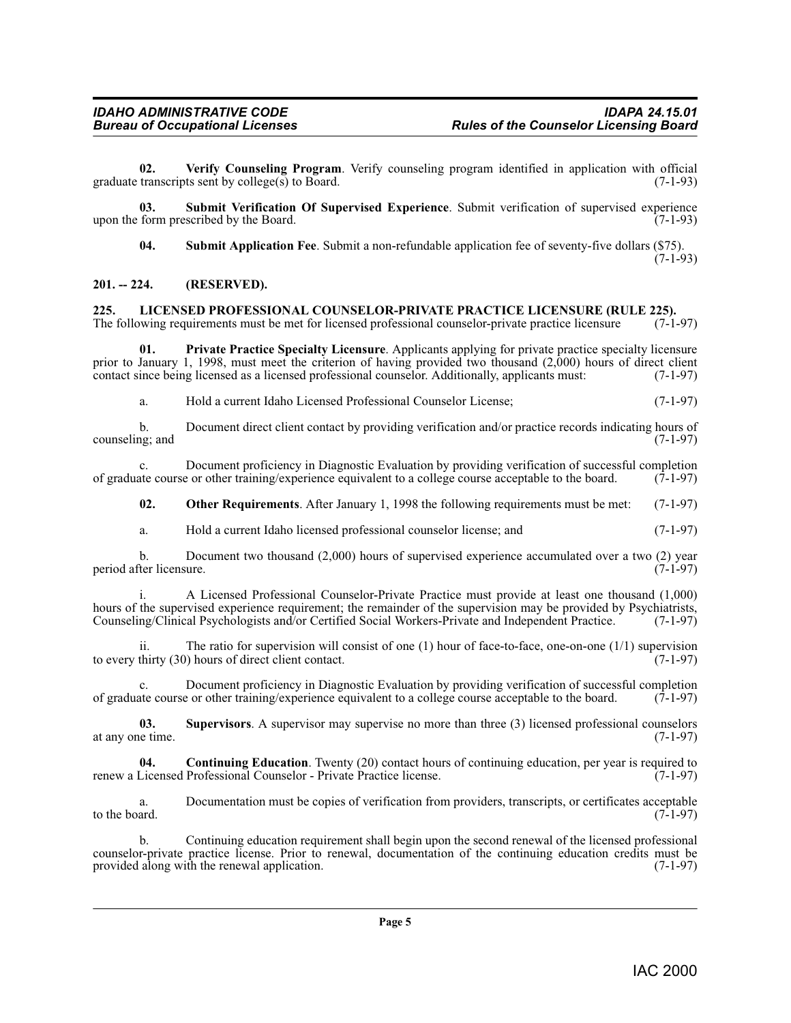<span id="page-4-8"></span>**02. Verify Counseling Program**. Verify counseling program identified in application with official graduate transcripts sent by college(s) to Board.  $(7-1-93)$ 

**03. Submit Verification Of Supervised Experience**. Submit verification of supervised experience upon the form prescribed by the Board. (7-1-93)

<span id="page-4-6"></span><span id="page-4-5"></span>**04. Submit Application Fee**. Submit a non-refundable application fee of seventy-five dollars (\$75).

 $(7-1-93)$ 

#### <span id="page-4-0"></span>**201. -- 224. (RESERVED).**

<span id="page-4-3"></span><span id="page-4-1"></span>**225. LICENSED PROFESSIONAL COUNSELOR-PRIVATE PRACTICE LICENSURE (RULE 225).**<br>The following requirements must be met for licensed professional counselor-private practice licensure (7-1-97) The following requirements must be met for licensed professional counselor-private practice licensure

**01. Private Practice Specialty Licensure**. Applicants applying for private practice specialty licensure prior to January 1, 1998, must meet the criterion of having provided two thousand  $(2,000)$  hours of direct client contact since being licensed as a licensed professional counselor. Additionally, applicants must:  $(7-1-97$ contact since being licensed as a licensed professional counselor. Additionally, applicants must:

<span id="page-4-4"></span>a. Hold a current Idaho Licensed Professional Counselor License; (7-1-97)

b. Document direct client contact by providing verification and/or practice records indicating hours of  $(7-1-97)$ counseling; and

c. Document proficiency in Diagnostic Evaluation by providing verification of successful completion ate course or other training/experience equivalent to a college course acceptable to the board. (7-1-97) of graduate course or other training/experience equivalent to a college course acceptable to the board.

**02.** Other Requirements. After January 1, 1998 the following requirements must be met: (7-1-97)

a. Hold a current Idaho licensed professional counselor license; and (7-1-97)

b. Document two thousand  $(2,000)$  hours of supervised experience accumulated over a two  $(2)$  year der licensure.  $(7-1-97)$ period after licensure.

i. A Licensed Professional Counselor-Private Practice must provide at least one thousand (1,000) hours of the supervised experience requirement; the remainder of the supervision may be provided by Psychiatrists, Counseling/Clinical Psychologists and/or Certified Social Workers-Private and Independent Practice. (7-1-97)

The ratio for supervision will consist of one (1) hour of face-to-face, one-on-one (1/1) supervision (1) hours of direct client contact. to every thirty  $(30)$  hours of direct client contact.

c. Document proficiency in Diagnostic Evaluation by providing verification of successful completion of graduate course or other training/experience equivalent to a college course acceptable to the board. (7-1-97)

<span id="page-4-7"></span>**03.** Supervisors. A supervisor may supervise no more than three (3) licensed professional counselors (7-1-97) at any one time.

<span id="page-4-2"></span>**04.** Continuing Education. Twenty (20) contact hours of continuing education, per year is required to renew a Licensed Professional Counselor - Private Practice license. (7-1-97)

a. Documentation must be copies of verification from providers, transcripts, or certificates acceptable to the board.  $(7-1-97)$ 

b. Continuing education requirement shall begin upon the second renewal of the licensed professional counselor-private practice license. Prior to renewal, documentation of the continuing education credits must be provided along with the renewal application.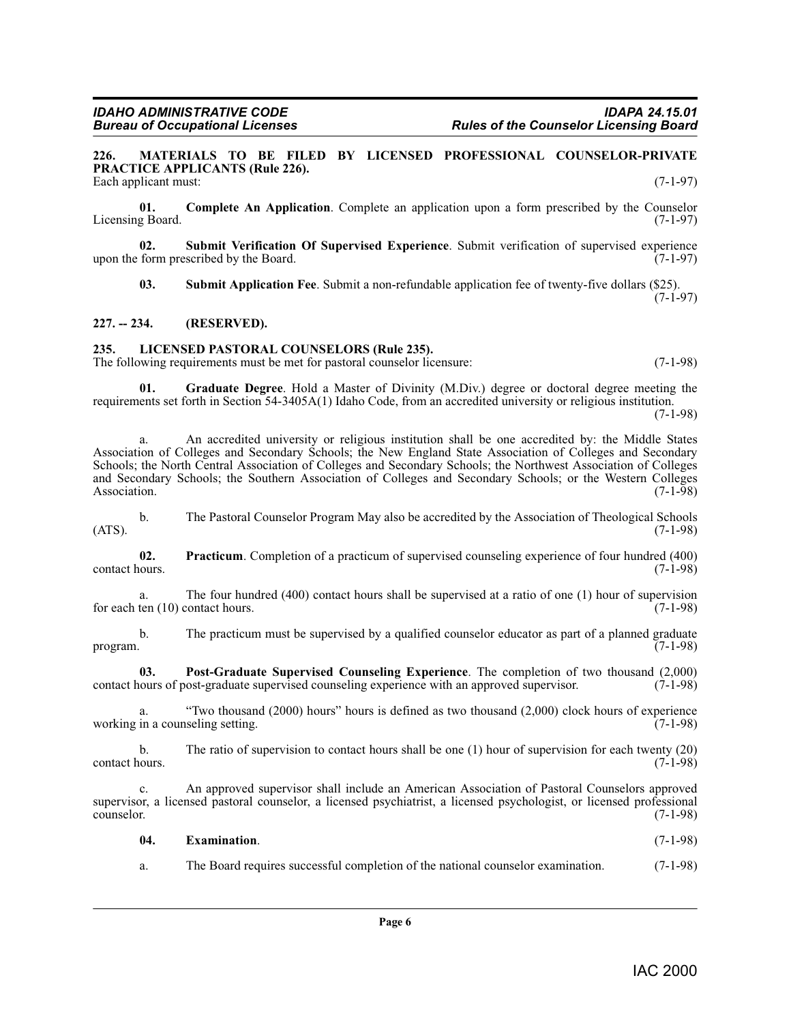**Rules of the Counselor Licensing Board** 

<span id="page-5-4"></span><span id="page-5-0"></span>**226. MATERIALS TO BE FILED BY LICENSED PROFESSIONAL COUNSELOR-PRIVATE PRACTICE APPLICANTS (Rule 226).** Each applicant must: (7-1-97)

**01. Complete An Application**. Complete an application upon a form prescribed by the Counselor Licensing Board. (7-1-97)

**02. Submit Verification Of Supervised Experience**. Submit verification of supervised experience upon the form prescribed by the Board.

<span id="page-5-8"></span><span id="page-5-7"></span>**03. Submit Application Fee**. Submit a non-refundable application fee of twenty-five dollars (\$25).  $(7-1-97)$ 

**227. -- 234. (RESERVED).**

#### <span id="page-5-3"></span><span id="page-5-1"></span>**235. LICENSED PASTORAL COUNSELORS (Rule 235).**

<span id="page-5-2"></span>The following requirements must be met for pastoral counselor licensure: (7-1-98)

**01. Graduate Degree**. Hold a Master of Divinity (M.Div.) degree or doctoral degree meeting the requirements set forth in Section 54-3405A(1) Idaho Code, from an accredited university or religious institution.

(7-1-98)

a. An accredited university or religious institution shall be one accredited by: the Middle States Association of Colleges and Secondary Schools; the New England State Association of Colleges and Secondary Schools; the North Central Association of Colleges and Secondary Schools; the Northwest Association of Colleges and Secondary Schools; the Southern Association of Colleges and Secondary Schools; or the Western Colleges Association. (7-1-98)

b. The Pastoral Counselor Program May also be accredited by the Association of Theological Schools  $(ATS)$ .  $(7-1-98)$ 

<span id="page-5-6"></span>**02. Practicum**. Completion of a practicum of supervised counseling experience of four hundred (400) contact hours.

a. The four hundred (400) contact hours shall be supervised at a ratio of one (1) hour of supervision ten (10) contact hours.  $(7-1-98)$ for each ten  $(10)$  contact hours.

b. The practicum must be supervised by a qualified counselor educator as part of a planned graduate program.  $(7-1-98)$ 

<span id="page-5-5"></span>**03. Post-Graduate Supervised Counseling Experience**. The completion of two thousand (2,000) contact hours of post-graduate supervised counseling experience with an approved supervisor. (7-1-98)

a. "Two thousand (2000) hours" hours is defined as two thousand (2,000) clock hours of experience in a counseling setting. (7-1-98) working in a counseling setting.

b. The ratio of supervision to contact hours shall be one (1) hour of supervision for each twenty (20) contact hours. (7-1-98)

c. An approved supervisor shall include an American Association of Pastoral Counselors approved supervisor, a licensed pastoral counselor, a licensed psychiatrist, a licensed psychologist, or licensed professional counselor. (7-1-98)

| 04. | <b>Examination.</b> |  | $(7-1-98)$ |
|-----|---------------------|--|------------|
|     |                     |  |            |

a. The Board requires successful completion of the national counselor examination. (7-1-98)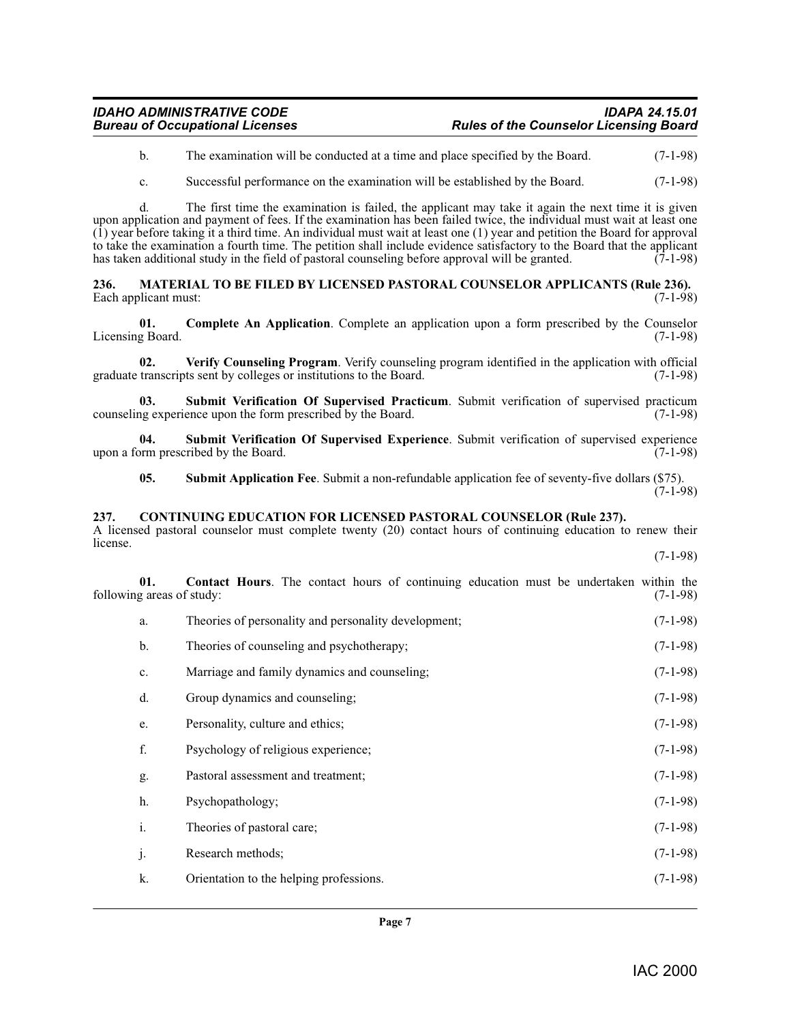#### *IDAHO ADMINISTRATIVE CODE IDAPA 24.15.01* **Rules of the Counselor Licensing Board**

b. The examination will be conducted at a time and place specified by the Board. (7-1-98)

c. Successful performance on the examination will be established by the Board. (7-1-98)

d. The first time the examination is failed, the applicant may take it again the next time it is given upon application and payment of fees. If the examination has been failed twice, the individual must wait at least one  $(1)$  year before taking it a third time. An individual must wait at least one  $(1)$  year and petition the Board for approval to take the examination a fourth time. The petition shall include evidence satisfactory to the Board that the applicant has taken additional study in the field of pastoral counseling before approval will be granted.  $\overline{(7-1-98)}$ 

<span id="page-6-4"></span><span id="page-6-0"></span>**236. MATERIAL TO BE FILED BY LICENSED PASTORAL COUNSELOR APPLICANTS (Rule 236).**  Each applicant must:

**01. Complete An Application**. Complete an application upon a form prescribed by the Counselor Licensing Board. (7-1-98)

<span id="page-6-8"></span>**02.** Verify Counseling Program. Verify counseling program identified in the application with official transcripts sent by colleges or institutions to the Board. (7-1-98) graduate transcripts sent by colleges or institutions to the Board.

<span id="page-6-7"></span>**03.** Submit Verification Of Supervised Practicum. Submit verification of supervised practicum ng experience upon the form prescribed by the Board. (7-1-98) counseling experience upon the form prescribed by the Board.

**04. Submit Verification Of Supervised Experience**. Submit verification of supervised experience upon a form prescribed by the Board. (7-1-98)

<span id="page-6-6"></span><span id="page-6-5"></span><span id="page-6-3"></span>**05. Submit Application Fee**. Submit a non-refundable application fee of seventy-five dollars (\$75).  $(7-1-98)$ 

#### <span id="page-6-1"></span>**237. CONTINUING EDUCATION FOR LICENSED PASTORAL COUNSELOR (Rule 237).**

A licensed pastoral counselor must complete twenty (20) contact hours of continuing education to renew their license. (7-1-98)

**01. Contact Hours**. The contact hours of continuing education must be undertaken within the g areas of study: (7-1-98) following areas of study:

<span id="page-6-2"></span>a. Theories of personality and personality development; (7-1-98) b. Theories of counseling and psychotherapy; (7-1-98) c. Marriage and family dynamics and counseling; (7-1-98) d. Group dynamics and counseling; (7-1-98) e. Personality, culture and ethics; (7-1-98) f. Psychology of religious experience; (7-1-98) g. Pastoral assessment and treatment; (7-1-98) h. Psychopathology; (7-1-98) i. Theories of pastoral care; (7-1-98) j. Research methods; (7-1-98) k. Orientation to the helping professions. (7-1-98)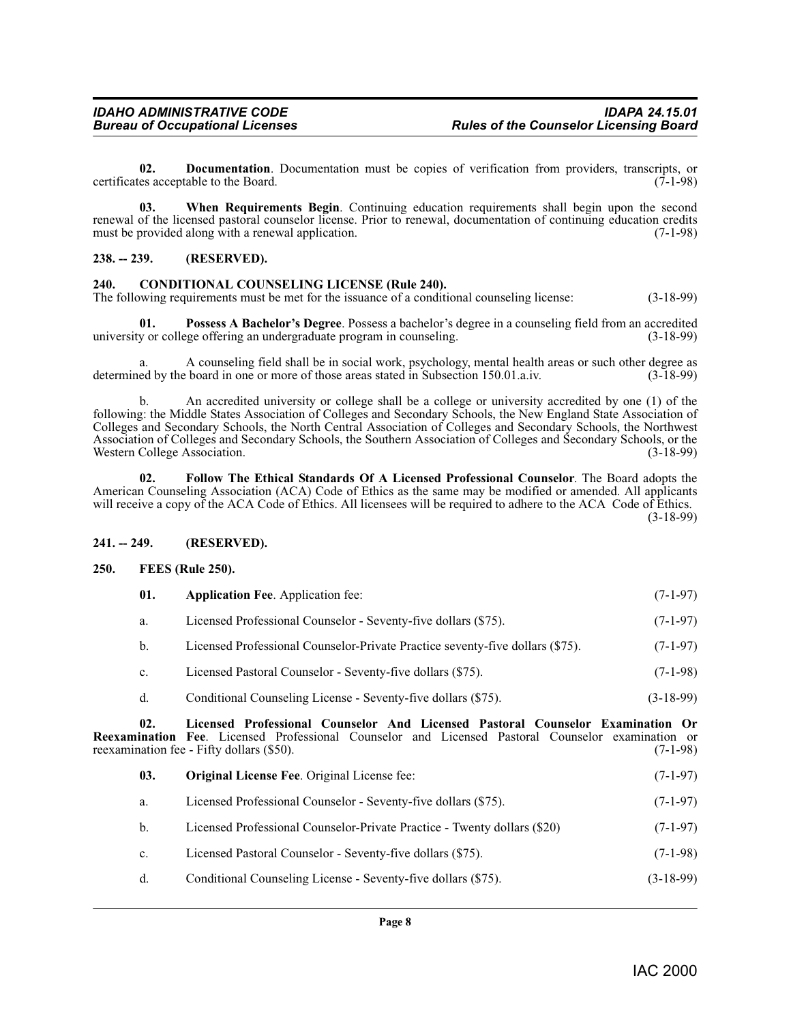**02.** Documentation. Documentation must be copies of verification from providers, transcripts, or es acceptable to the Board. (7-1-98) certificates acceptable to the Board.

**03. When Requirements Begin**. Continuing education requirements shall begin upon the second renewal of the licensed pastoral counselor license. Prior to renewal, documentation of continuing education credits must be provided along with a renewal application. (7-1-98) must be provided along with a renewal application.

#### **238. -- 239. (RESERVED).**

#### <span id="page-7-3"></span><span id="page-7-0"></span>**240. CONDITIONAL COUNSELING LICENSE (Rule 240).**

The following requirements must be met for the issuance of a conditional counseling license: (3-18-99)

**01. Possess A Bachelor's Degree**. Possess a bachelor's degree in a counseling field from an accredited university or college offering an undergraduate program in counseling. (3-18-99)

a. A counseling field shall be in social work, psychology, mental health areas or such other degree as ed by the board in one or more of those areas stated in Subsection 150.01.a.iv. (3-18-99) determined by the board in one or more of those areas stated in Subsection 150.01.a.iv.

b. An accredited university or college shall be a college or university accredited by one (1) of the following: the Middle States Association of Colleges and Secondary Schools, the New England State Association of Colleges and Secondary Schools, the North Central Association of Colleges and Secondary Schools, the Northwest Association of Colleges and Secondary Schools, the Southern Association of Colleges and Secondary Schools, or the Western College Association. (3-18-99)

<span id="page-7-5"></span>**02. Follow The Ethical Standards Of A Licensed Professional Counselor**. The Board adopts the American Counseling Association (ACA) Code of Ethics as the same may be modified or amended. All applicants will receive a copy of the ACA Code of Ethics. All licensees will be required to adhere to the ACA Code of Ethics. (3-18-99)

#### **241. -- 249. (RESERVED).**

#### <span id="page-7-1"></span>**250. FEES (Rule 250).**

<span id="page-7-4"></span><span id="page-7-2"></span>

| <b>Application Fee.</b> Application fee:<br>-01. |                                                                               | $(7-1-97)$ |  |
|--------------------------------------------------|-------------------------------------------------------------------------------|------------|--|
| а.                                               | Licensed Professional Counselor - Seventy-five dollars (\$75).                | $(7-1-97)$ |  |
| b.                                               | Licensed Professional Counselor-Private Practice seventy-five dollars (\$75). | $(7-1-97)$ |  |

- c. Licensed Pastoral Counselor Seventy-five dollars (\$75). (7-1-98)
- <span id="page-7-6"></span>d. Conditional Counseling License - Seventy-five dollars (\$75). (3-18-99)

**02. Licensed Professional Counselor And Licensed Pastoral Counselor Examination Or Reexamination Fee**. Licensed Professional Counselor and Licensed Pastoral Counselor examination or reexamination fee Fifty dollars (\$50). reexamination fee - Fifty dollars (\$50).

<span id="page-7-7"></span>

| 03. | <b>Original License Fee.</b> Original License fee:                       |             |
|-----|--------------------------------------------------------------------------|-------------|
| a.  | Licensed Professional Counselor - Seventy-five dollars (\$75).           | $(7-1-97)$  |
| b.  | Licensed Professional Counselor-Private Practice - Twenty dollars (\$20) | $(7-1-97)$  |
| c.  | Licensed Pastoral Counselor - Seventy-five dollars (\$75).               | $(7-1-98)$  |
| d.  | Conditional Counseling License - Seventy-five dollars (\$75).            | $(3-18-99)$ |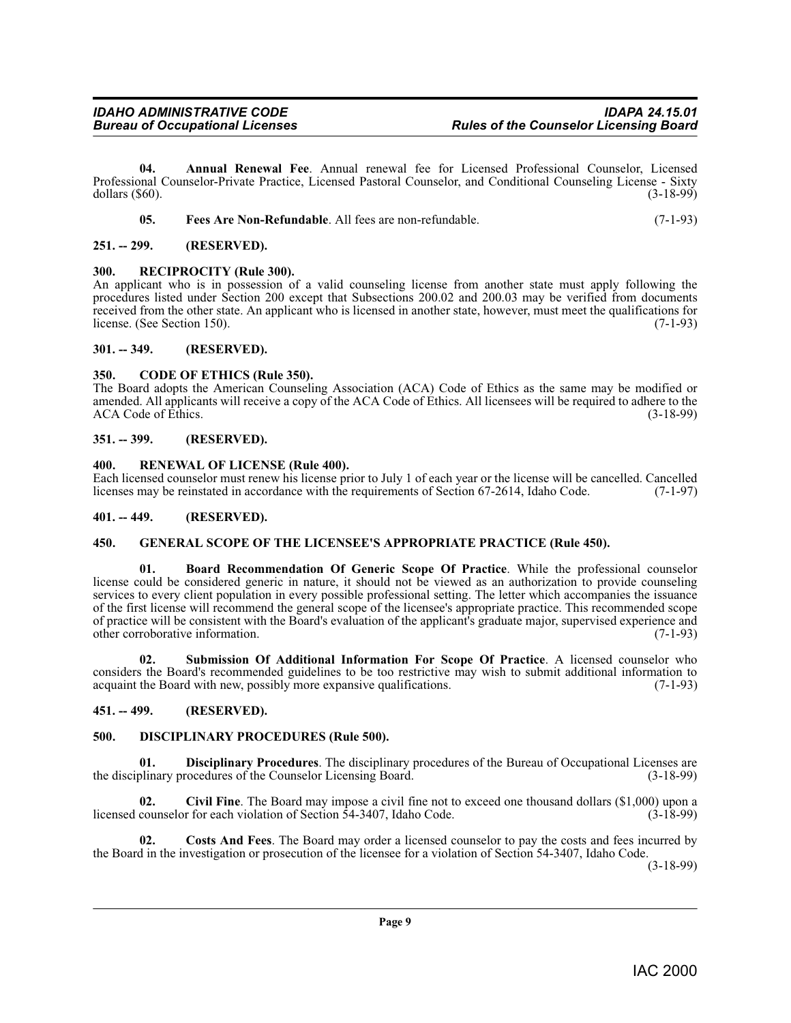**04. Annual Renewal Fee**. Annual renewal fee for Licensed Professional Counselor, Licensed Professional Counselor-Private Practice, Licensed Pastoral Counselor, and Conditional Counseling License - Sixty dollars (\$60). (3-18-99) dollars (\$60). (3-18-99)

<span id="page-8-18"></span><span id="page-8-16"></span><span id="page-8-10"></span>

|  | Fees Are Non-Refundable. All fees are non-refundable. |  | $(7-1-93)$ |  |  |
|--|-------------------------------------------------------|--|------------|--|--|
|--|-------------------------------------------------------|--|------------|--|--|

<span id="page-8-0"></span>**251. -- 299. (RESERVED).**

#### <span id="page-8-1"></span>**300. RECIPROCITY (Rule 300).**

An applicant who is in possession of a valid counseling license from another state must apply following the procedures listed under Section 200 except that Subsections 200.02 and 200.03 may be verified from documents received from the other state. An applicant who is licensed in another state, however, must meet the qualifications for license. (See Section 150). license. (See Section 150).

#### <span id="page-8-2"></span>**301. -- 349. (RESERVED).**

#### <span id="page-8-13"></span><span id="page-8-3"></span>**350. CODE OF ETHICS (Rule 350).**

The Board adopts the American Counseling Association (ACA) Code of Ethics as the same may be modified or amended. All applicants will receive a copy of the ACA Code of Ethics. All licensees will be required to adhere to the ACA Code of Ethics. (3-18-99)

#### <span id="page-8-4"></span>**351. -- 399. (RESERVED).**

#### <span id="page-8-19"></span><span id="page-8-5"></span>**400. RENEWAL OF LICENSE (Rule 400).**

Each licensed counselor must renew his license prior to July 1 of each year or the license will be cancelled. Cancelled licenses may be reinstated in accordance with the requirements of Section 67-2614, Idaho Code. (7-1-97 licenses may be reinstated in accordance with the requirements of Section 67-2614, Idaho Code.

#### <span id="page-8-6"></span>**401. -- 449. (RESERVED).**

#### <span id="page-8-17"></span><span id="page-8-7"></span>**450. GENERAL SCOPE OF THE LICENSEE'S APPROPRIATE PRACTICE (Rule 450).**

<span id="page-8-11"></span>**01. Board Recommendation Of Generic Scope Of Practice**. While the professional counselor license could be considered generic in nature, it should not be viewed as an authorization to provide counseling services to every client population in every possible professional setting. The letter which accompanies the issuance of the first license will recommend the general scope of the licensee's appropriate practice. This recommended scope of practice will be consistent with the Board's evaluation of the applicant's graduate major, supervised experience and other corroborative information.

<span id="page-8-20"></span>**02. Submission Of Additional Information For Scope Of Practice**. A licensed counselor who considers the Board's recommended guidelines to be too restrictive may wish to submit additional information to acquaint the Board with new, possibly more expansive qualifications. (7-1-93)

#### <span id="page-8-8"></span>**451. -- 499. (RESERVED).**

#### <span id="page-8-15"></span><span id="page-8-9"></span>**500. DISCIPLINARY PROCEDURES (Rule 500).**

**01. Disciplinary Procedures**. The disciplinary procedures of the Bureau of Occupational Licenses are the disciplinary procedures of the Counselor Licensing Board. (3-18-99)

<span id="page-8-12"></span>**02. Civil Fine**. The Board may impose a civil fine not to exceed one thousand dollars (\$1,000) upon a licensed counselor for each violation of Section 54-3407, Idaho Code. (3-18-99)

<span id="page-8-14"></span>**02. Costs And Fees**. The Board may order a licensed counselor to pay the costs and fees incurred by the Board in the investigation or prosecution of the licensee for a violation of Section 54-3407, Idaho Code.

(3-18-99)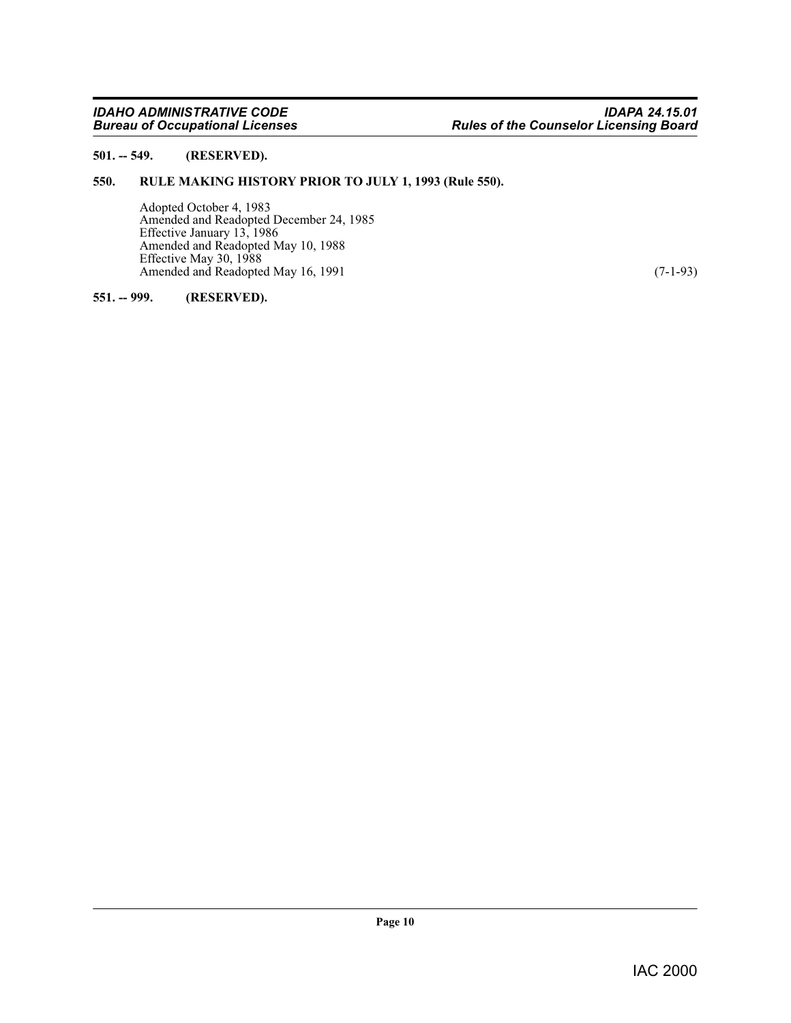#### <span id="page-9-0"></span>**501. -- 549. (RESERVED).**

#### <span id="page-9-1"></span>**550. RULE MAKING HISTORY PRIOR TO JULY 1, 1993 (Rule 550).**

<span id="page-9-3"></span>Adopted October 4, 1983 Amended and Readopted December 24, 1985 Effective January 13, 1986 Amended and Readopted May 10, 1988 Effective May 30, 1988 Amended and Readopted May 16, 1991 (7-1-93)

#### <span id="page-9-2"></span>**551. -- 999. (RESERVED).**